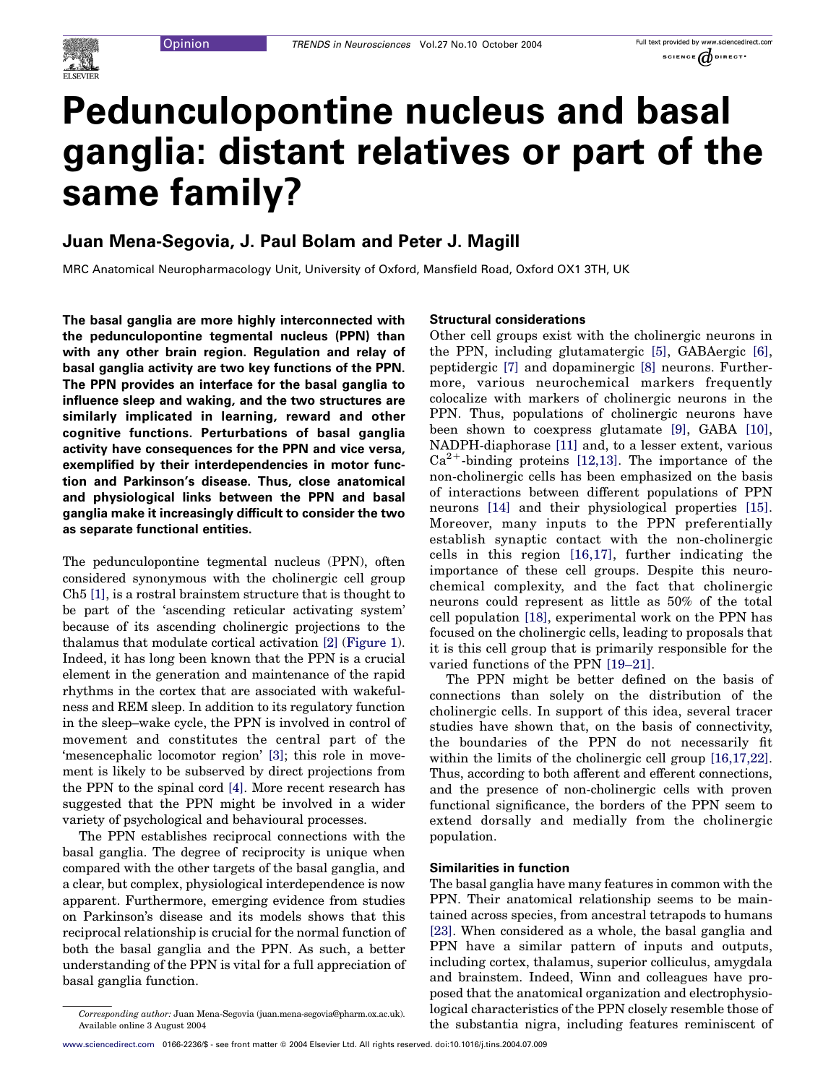# Pedunculopontine nucleus and basal ganglia: distant relatives or part of the same family?

# Juan Mena-Segovia, J. Paul Bolam and Peter J. Magill

MRC Anatomical Neuropharmacology Unit, University of Oxford, Mansfield Road, Oxford OX1 3TH, UK

The basal ganglia are more highly interconnected with the pedunculopontine tegmental nucleus (PPN) than with any other brain region. Regulation and relay of basal ganglia activity are two key functions of the PPN. The PPN provides an interface for the basal ganglia to influence sleep and waking, and the two structures are similarly implicated in learning, reward and other cognitive functions. Perturbations of basal ganglia activity have consequences for the PPN and vice versa, exemplified by their interdependencies in motor function and Parkinson's disease. Thus, close anatomical and physiological links between the PPN and basal ganglia make it increasingly difficult to consider the two as separate functional entities.

The pedunculopontine tegmental nucleus (PPN), often considered synonymous with the cholinergic cell group Ch5 [\[1\]](#page-2-0), is a rostral brainstem structure that is thought to be part of the 'ascending reticular activating system' because of its ascending cholinergic projections to the thalamus that modulate cortical activation [\[2\]](#page-2-0) ([Figure 1](#page-1-0)). Indeed, it has long been known that the PPN is a crucial element in the generation and maintenance of the rapid rhythms in the cortex that are associated with wakefulness and REM sleep. In addition to its regulatory function in the sleep–wake cycle, the PPN is involved in control of movement and constitutes the central part of the 'mesencephalic locomotor region' [\[3\]](#page-2-0); this role in movement is likely to be subserved by direct projections from the PPN to the spinal cord [\[4\].](#page-2-0) More recent research has suggested that the PPN might be involved in a wider variety of psychological and behavioural processes.

The PPN establishes reciprocal connections with the basal ganglia. The degree of reciprocity is unique when compared with the other targets of the basal ganglia, and a clear, but complex, physiological interdependence is now apparent. Furthermore, emerging evidence from studies on Parkinson's disease and its models shows that this reciprocal relationship is crucial for the normal function of both the basal ganglia and the PPN. As such, a better understanding of the PPN is vital for a full appreciation of basal ganglia function.

#### Structural considerations

Other cell groups exist with the cholinergic neurons in the PPN, including glutamatergic [\[5\],](#page-2-0) GABAergic [\[6\]](#page-2-0), peptidergic [\[7\]](#page-2-0) and dopaminergic [\[8\]](#page-2-0) neurons. Furthermore, various neurochemical markers frequently colocalize with markers of cholinergic neurons in the PPN. Thus, populations of cholinergic neurons have been shown to coexpress glutamate [\[9\]](#page-2-0), GABA [\[10\]](#page-2-0), NADPH-diaphorase [\[11\]](#page-2-0) and, to a lesser extent, various  $Ca^{2+}$ -binding proteins [\[12,13\].](#page-2-0) The importance of the non-cholinergic cells has been emphasized on the basis of interactions between different populations of PPN neurons [\[14\]](#page-2-0) and their physiological properties [\[15\]](#page-2-0). Moreover, many inputs to the PPN preferentially establish synaptic contact with the non-cholinergic cells in this region [\[16,17\],](#page-2-0) further indicating the importance of these cell groups. Despite this neurochemical complexity, and the fact that cholinergic neurons could represent as little as 50% of the total cell population [\[18\]](#page-2-0), experimental work on the PPN has focused on the cholinergic cells, leading to proposals that it is this cell group that is primarily responsible for the varied functions of the PPN [\[19–21\]](#page-2-0).

The PPN might be better defined on the basis of connections than solely on the distribution of the cholinergic cells. In support of this idea, several tracer studies have shown that, on the basis of connectivity, the boundaries of the PPN do not necessarily fit within the limits of the cholinergic cell group  $[16,17,22]$ . Thus, according to both afferent and efferent connections, and the presence of non-cholinergic cells with proven functional significance, the borders of the PPN seem to extend dorsally and medially from the cholinergic population.

## Similarities in function

The basal ganglia have many features in common with the PPN. Their anatomical relationship seems to be maintained across species, from ancestral tetrapods to humans [\[23\].](#page-3-0) When considered as a whole, the basal ganglia and PPN have a similar pattern of inputs and outputs, including cortex, thalamus, superior colliculus, amygdala and brainstem. Indeed, Winn and colleagues have proposed that the anatomical organization and electrophysiological characteristics of the PPN closely resemble those of the substantia nigra, including features reminiscent of

Corresponding author: Juan Mena-Segovia (juan.mena-segovia@pharm.ox.ac.uk). Available online 3 August 2004

[www.sciencedirect.com](http://www.sciencedirect.com) 0166-2236/\$ - see front matter Q 2004 Elsevier Ltd. All rights reserved. doi:10.1016/j.tins.2004.07.009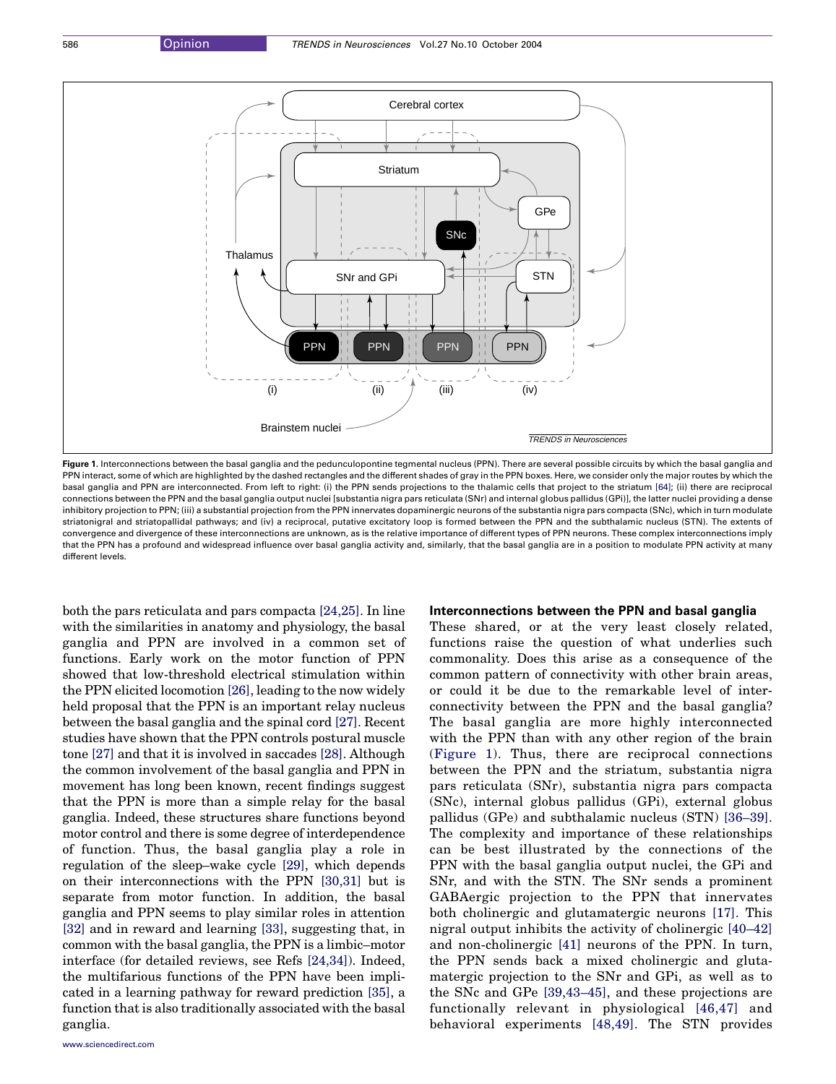<span id="page-1-0"></span>

Figure 1. Interconnections between the basal ganglia and the pedunculopontine tegmental nucleus (PPN). There are several possible circuits by which the basal ganglia and PPN interact, some of which are highlighted by the dashed rectangles and the different shades of gray in the PPN boxes. Here, we consider only the major routes by which the basal ganglia and PPN are interconnected. From left to right: (i) the PPN sends projections to the thalamic cells that project to the striatum [\[64\]](#page-3-0); (ii) there are reciprocal connections between the PPN and the basal ganglia output nuclei [substantia nigra pars reticulata (SNr) and internal globus pallidus (GPi)], the latter nuclei providing a dense inhibitory projection to PPN; (iii) a substantial projection from the PPN innervates dopaminergic neurons of the substantia nigra pars compacta (SNc), which in turn modulate striatonigral and striatopallidal pathways; and (iv) a reciprocal, putative excitatory loop is formed between the PPN and the subthalamic nucleus (STN). The extents of convergence and divergence of these interconnections are unknown, as is the relative importance of different types of PPN neurons. These complex interconnections imply that the PPN has a profound and widespread influence over basal ganglia activity and, similarly, that the basal ganglia are in a position to modulate PPN activity at many different levels.

both the pars reticulata and pars compacta [\[24,25\].](#page-3-0) In line with the similarities in anatomy and physiology, the basal ganglia and PPN are involved in a common set of functions. Early work on the motor function of PPN showed that low-threshold electrical stimulation within the PPN elicited locomotion [\[26\]](#page-3-0), leading to the now widely held proposal that the PPN is an important relay nucleus between the basal ganglia and the spinal cord [\[27\]](#page-3-0). Recent studies have shown that the PPN controls postural muscle tone [\[27\]](#page-3-0) and that it is involved in saccades [\[28\]](#page-3-0). Although the common involvement of the basal ganglia and PPN in movement has long been known, recent findings suggest that the PPN is more than a simple relay for the basal ganglia. Indeed, these structures share functions beyond motor control and there is some degree of interdependence of function. Thus, the basal ganglia play a role in regulation of the sleep–wake cycle [\[29\]](#page-3-0), which depends on their interconnections with the PPN [\[30,31\]](#page-3-0) but is separate from motor function. In addition, the basal ganglia and PPN seems to play similar roles in attention [\[32\]](#page-3-0) and in reward and learning [\[33\]](#page-3-0), suggesting that, in common with the basal ganglia, the PPN is a limbic–motor interface (for detailed reviews, see Refs [\[24,34\]\)](#page-3-0). Indeed, the multifarious functions of the PPN have been implicated in a learning pathway for reward prediction [\[35\]](#page-3-0), a function that is also traditionally associated with the basal ganglia.

#### Interconnections between the PPN and basal ganglia

These shared, or at the very least closely related, functions raise the question of what underlies such commonality. Does this arise as a consequence of the common pattern of connectivity with other brain areas, or could it be due to the remarkable level of interconnectivity between the PPN and the basal ganglia? The basal ganglia are more highly interconnected with the PPN than with any other region of the brain (Figure 1). Thus, there are reciprocal connections between the PPN and the striatum, substantia nigra pars reticulata (SNr), substantia nigra pars compacta (SNc), internal globus pallidus (GPi), external globus pallidus (GPe) and subthalamic nucleus (STN) [\[36–39\]](#page-3-0). The complexity and importance of these relationships can be best illustrated by the connections of the PPN with the basal ganglia output nuclei, the GPi and SNr, and with the STN. The SNr sends a prominent GABAergic projection to the PPN that innervates both cholinergic and glutamatergic neurons [\[17\].](#page-2-0) This nigral output inhibits the activity of cholinergic [\[40–42\]](#page-3-0) and non-cholinergic [\[41\]](#page-3-0) neurons of the PPN. In turn, the PPN sends back a mixed cholinergic and glutamatergic projection to the SNr and GPi, as well as to the SNc and GPe [\[39,43–45\]](#page-3-0), and these projections are functionally relevant in physiological [\[46,47\]](#page-3-0) and behavioral experiments [\[48,49\].](#page-3-0) The STN provides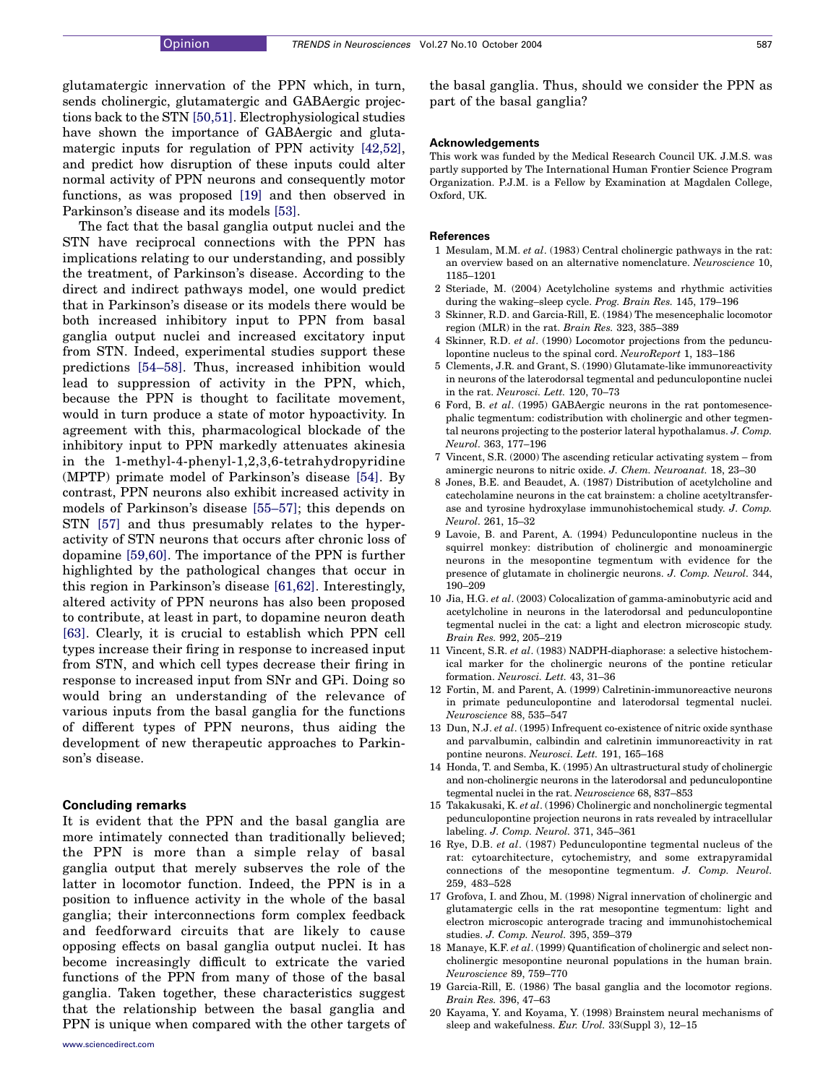<span id="page-2-0"></span>glutamatergic innervation of the PPN which, in turn, sends cholinergic, glutamatergic and GABAergic projections back to the STN [\[50,51\].](#page-3-0) Electrophysiological studies have shown the importance of GABAergic and glutamatergic inputs for regulation of PPN activity [\[42,52\]](#page-3-0), and predict how disruption of these inputs could alter normal activity of PPN neurons and consequently motor functions, as was proposed [19] and then observed in Parkinson's disease and its models [\[53\]](#page-3-0).

The fact that the basal ganglia output nuclei and the STN have reciprocal connections with the PPN has implications relating to our understanding, and possibly the treatment, of Parkinson's disease. According to the direct and indirect pathways model, one would predict that in Parkinson's disease or its models there would be both increased inhibitory input to PPN from basal ganglia output nuclei and increased excitatory input from STN. Indeed, experimental studies support these predictions [\[54–58\].](#page-3-0) Thus, increased inhibition would lead to suppression of activity in the PPN, which, because the PPN is thought to facilitate movement, would in turn produce a state of motor hypoactivity. In agreement with this, pharmacological blockade of the inhibitory input to PPN markedly attenuates akinesia in the 1-methyl-4-phenyl-1,2,3,6-tetrahydropyridine (MPTP) primate model of Parkinson's disease [\[54\].](#page-3-0) By contrast, PPN neurons also exhibit increased activity in models of Parkinson's disease [\[55–57\]](#page-3-0); this depends on STN [\[57\]](#page-3-0) and thus presumably relates to the hyperactivity of STN neurons that occurs after chronic loss of dopamine [\[59,60\].](#page-3-0) The importance of the PPN is further highlighted by the pathological changes that occur in this region in Parkinson's disease [\[61,62\]](#page-3-0). Interestingly, altered activity of PPN neurons has also been proposed to contribute, at least in part, to dopamine neuron death [\[63\].](#page-3-0) Clearly, it is crucial to establish which PPN cell types increase their firing in response to increased input from STN, and which cell types decrease their firing in response to increased input from SNr and GPi. Doing so would bring an understanding of the relevance of various inputs from the basal ganglia for the functions of different types of PPN neurons, thus aiding the development of new therapeutic approaches to Parkinson's disease.

### Concluding remarks

It is evident that the PPN and the basal ganglia are more intimately connected than traditionally believed; the PPN is more than a simple relay of basal ganglia output that merely subserves the role of the latter in locomotor function. Indeed, the PPN is in a position to influence activity in the whole of the basal ganglia; their interconnections form complex feedback and feedforward circuits that are likely to cause opposing effects on basal ganglia output nuclei. It has become increasingly difficult to extricate the varied functions of the PPN from many of those of the basal ganglia. Taken together, these characteristics suggest that the relationship between the basal ganglia and PPN is unique when compared with the other targets of the basal ganglia. Thus, should we consider the PPN as part of the basal ganglia?

#### Acknowledgements

This work was funded by the Medical Research Council UK. J.M.S. was partly supported by The International Human Frontier Science Program Organization. P.J.M. is a Fellow by Examination at Magdalen College, Oxford, UK.

#### References

- 1 Mesulam, M.M. et al. (1983) Central cholinergic pathways in the rat: an overview based on an alternative nomenclature. Neuroscience 10, 1185–1201
- 2 Steriade, M. (2004) Acetylcholine systems and rhythmic activities during the waking–sleep cycle. Prog. Brain Res. 145, 179–196
- 3 Skinner, R.D. and Garcia-Rill, E. (1984) The mesencephalic locomotor region (MLR) in the rat. Brain Res. 323, 385–389
- 4 Skinner, R.D. et al. (1990) Locomotor projections from the pedunculopontine nucleus to the spinal cord. NeuroReport 1, 183–186
- 5 Clements, J.R. and Grant, S. (1990) Glutamate-like immunoreactivity in neurons of the laterodorsal tegmental and pedunculopontine nuclei in the rat. Neurosci. Lett. 120, 70–73
- 6 Ford, B. et al. (1995) GABAergic neurons in the rat pontomesencephalic tegmentum: codistribution with cholinergic and other tegmental neurons projecting to the posterior lateral hypothalamus. J. Comp. Neurol. 363, 177–196
- 7 Vincent, S.R. (2000) The ascending reticular activating system from aminergic neurons to nitric oxide. J. Chem. Neuroanat. 18, 23–30
- 8 Jones, B.E. and Beaudet, A. (1987) Distribution of acetylcholine and catecholamine neurons in the cat brainstem: a choline acetyltransferase and tyrosine hydroxylase immunohistochemical study. J. Comp. Neurol. 261, 15–32
- 9 Lavoie, B. and Parent, A. (1994) Pedunculopontine nucleus in the squirrel monkey: distribution of cholinergic and monoaminergic neurons in the mesopontine tegmentum with evidence for the presence of glutamate in cholinergic neurons. J. Comp. Neurol. 344, 190–209
- 10 Jia, H.G. et al. (2003) Colocalization of gamma-aminobutyric acid and acetylcholine in neurons in the laterodorsal and pedunculopontine tegmental nuclei in the cat: a light and electron microscopic study. Brain Res. 992, 205–219
- 11 Vincent, S.R. et al. (1983) NADPH-diaphorase: a selective histochemical marker for the cholinergic neurons of the pontine reticular formation. Neurosci. Lett. 43, 31–36
- 12 Fortin, M. and Parent, A. (1999) Calretinin-immunoreactive neurons in primate pedunculopontine and laterodorsal tegmental nuclei. Neuroscience 88, 535–547
- 13 Dun, N.J. et al. (1995) Infrequent co-existence of nitric oxide synthase and parvalbumin, calbindin and calretinin immunoreactivity in rat pontine neurons. Neurosci. Lett. 191, 165–168
- 14 Honda, T. and Semba, K. (1995) An ultrastructural study of cholinergic and non-cholinergic neurons in the laterodorsal and pedunculopontine tegmental nuclei in the rat. Neuroscience 68, 837–853
- 15 Takakusaki, K. et al. (1996) Cholinergic and noncholinergic tegmental pedunculopontine projection neurons in rats revealed by intracellular labeling. J. Comp. Neurol. 371, 345–361
- 16 Rye, D.B. et al. (1987) Pedunculopontine tegmental nucleus of the rat: cytoarchitecture, cytochemistry, and some extrapyramidal connections of the mesopontine tegmentum. J. Comp. Neurol. 259, 483–528
- 17 Grofova, I. and Zhou, M. (1998) Nigral innervation of cholinergic and glutamatergic cells in the rat mesopontine tegmentum: light and electron microscopic anterograde tracing and immunohistochemical studies. J. Comp. Neurol. 395, 359–379
- 18 Manaye, K.F. et al. (1999) Quantification of cholinergic and select noncholinergic mesopontine neuronal populations in the human brain. Neuroscience 89, 759–770
- 19 Garcia-Rill, E. (1986) The basal ganglia and the locomotor regions. Brain Res. 396, 47–63
- 20 Kayama, Y. and Koyama, Y. (1998) Brainstem neural mechanisms of sleep and wakefulness. Eur. Urol. 33(Suppl 3), 12-15